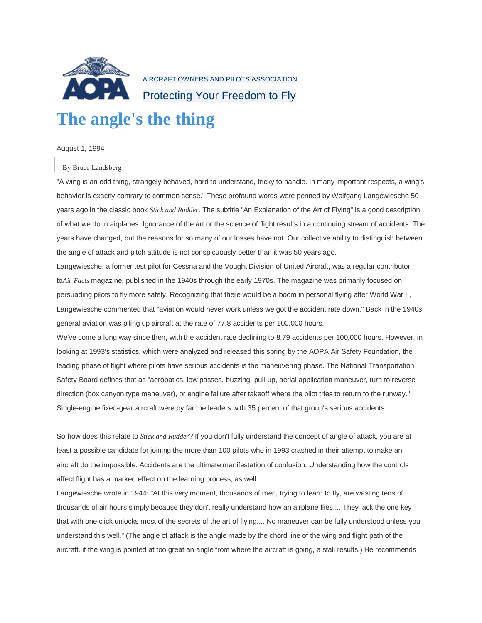

AIRCRAFT OWNERS AND PILOTS ASSOCIATION Protecting Your Freedom to Fly

## **The angle's the thing**

## August 1, 1994

## By Bruce Landsberg

"A wing is an odd thing, strangely behaved, hard to understand, tricky to handle. In many important respects, a wing's behavior is exactly contrary to common sense." These profound words were penned by Wolfgang Langewiesche 50 years ago in the classic book *Stick and Rudder*. The subtitle "An Explanation of the Art of Flying" is a good description of what we do in airplanes. Ignorance of the art or the science of flight results in a continuing stream of accidents. The years have changed, but the reasons for so many of our losses have not. Our collective ability to distinguish between the angle of attack and pitch attitude is not conspicuously better than it was 50 years ago.

Langewiesche, a former test pilot for Cessna and the Vought Division of United Aircraft, was a regular contributor to*Air Facts* magazine, published in the 1940s through the early 1970s. The magazine was primarily focused on persuading pilots to fly more safely. Recognizing that there would be a boom in personal flying after World War II, Langewiesche commented that "aviation would never work unless we got the accident rate down." Back in the 1940s, general aviation was piling up aircraft at the rate of 77.8 accidents per 100,000 hours.

We've come a long way since then, with the accident rate declining to 8.79 accidents per 100,000 hours. However, in looking at 1993's statistics, which were analyzed and released this spring by the AOPA Air Safety Foundation, the leading phase of flight where pilots have serious accidents is the maneuvering phase. The National Transportation Safety Board defines that as "aerobatics, low passes, buzzing, pull-up, aerial application maneuver, turn to reverse direction (box canyon type maneuver), or engine failure after takeoff where the pilot tries to return to the runway." Single-engine fixed-gear aircraft were by far the leaders with 35 percent of that group's serious accidents.

So how does this relate to *Stick and Rudder*? If you don't fully understand the concept of angle of attack, you are at least a possible candidate for joining the more than 100 pilots who in 1993 crashed in their attempt to make an aircraft do the impossible. Accidents are the ultimate manifestation of confusion. Understanding how the controls affect flight has a marked effect on the learning process, as well.

Langewiesche wrote in 1944: "At this very moment, thousands of men, trying to learn to fly, are wasting tens of thousands of air hours simply because they don't really understand how an airplane flies.... They lack the one key that with one click unlocks most of the secrets of the art of flying.... No maneuver can be fully understood unless you understand this well." (The angle of attack is the angle made by the chord line of the wing and flight path of the aircraft. if the wing is pointed at too great an angle from where the aircraft is going, a stall results.) He recommends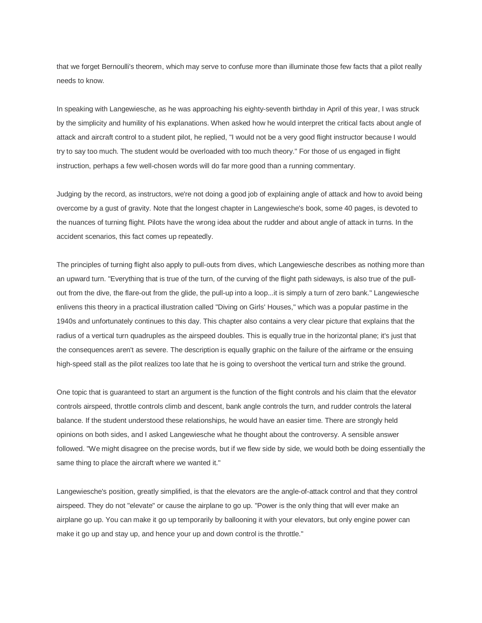that we forget Bernoulli's theorem, which may serve to confuse more than illuminate those few facts that a pilot really needs to know.

In speaking with Langewiesche, as he was approaching his eighty-seventh birthday in April of this year, I was struck by the simplicity and humility of his explanations. When asked how he would interpret the critical facts about angle of attack and aircraft control to a student pilot, he replied, "I would not be a very good flight instructor because I would try to say too much. The student would be overloaded with too much theory." For those of us engaged in flight instruction, perhaps a few well-chosen words will do far more good than a running commentary.

Judging by the record, as instructors, we're not doing a good job of explaining angle of attack and how to avoid being overcome by a gust of gravity. Note that the longest chapter in Langewiesche's book, some 40 pages, is devoted to the nuances of turning flight. Pilots have the wrong idea about the rudder and about angle of attack in turns. In the accident scenarios, this fact comes up repeatedly.

The principles of turning flight also apply to pull-outs from dives, which Langewiesche describes as nothing more than an upward turn. "Everything that is true of the turn, of the curving of the flight path sideways, is also true of the pullout from the dive, the flare-out from the glide, the pull-up into a loop...it is simply a turn of zero bank." Langewiesche enlivens this theory in a practical illustration called "Diving on Girls' Houses," which was a popular pastime in the 1940s and unfortunately continues to this day. This chapter also contains a very clear picture that explains that the radius of a vertical turn quadruples as the airspeed doubles. This is equally true in the horizontal plane; it's just that the consequences aren't as severe. The description is equally graphic on the failure of the airframe or the ensuing high-speed stall as the pilot realizes too late that he is going to overshoot the vertical turn and strike the ground.

One topic that is guaranteed to start an argument is the function of the flight controls and his claim that the elevator controls airspeed, throttle controls climb and descent, bank angle controls the turn, and rudder controls the lateral balance. If the student understood these relationships, he would have an easier time. There are strongly held opinions on both sides, and I asked Langewiesche what he thought about the controversy. A sensible answer followed. "We might disagree on the precise words, but if we flew side by side, we would both be doing essentially the same thing to place the aircraft where we wanted it."

Langewiesche's position, greatly simplified, is that the elevators are the angle-of-attack control and that they control airspeed. They do not "elevate" or cause the airplane to go up. "Power is the only thing that will ever make an airplane go up. You can make it go up temporarily by ballooning it with your elevators, but only engine power can make it go up and stay up, and hence your up and down control is the throttle."